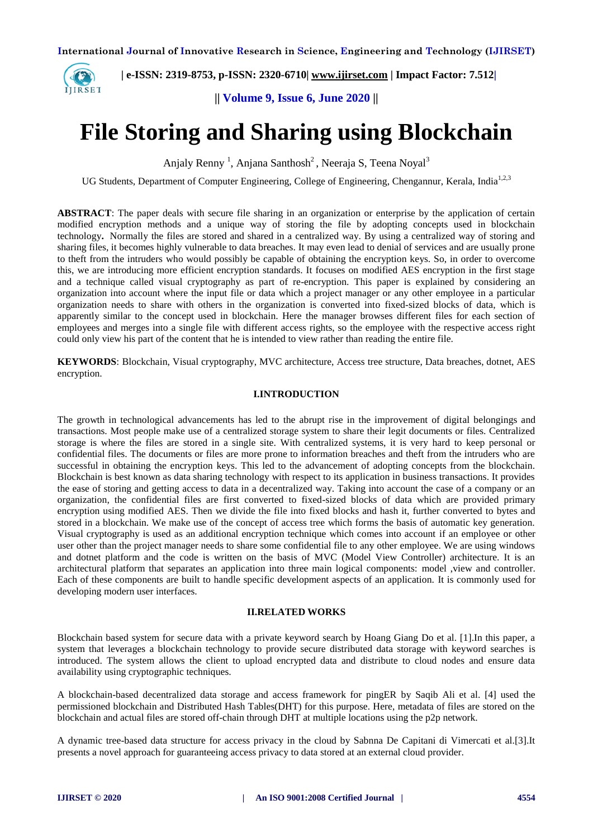

 **| e-ISSN: 2319-8753, p-ISSN: 2320-6710| [www.ijirset.com](http://www.ijirset.com/) | Impact Factor: 7.512|**

**|| Volume 9, Issue 6, June 2020 ||** 

# **File Storing and Sharing using Blockchain**

Anjaly Renny<sup>1</sup>, Anjana Santhosh<sup>2</sup>, Neeraja S, Teena Noyal<sup>3</sup>

UG Students, Department of Computer Engineering, College of Engineering, Chengannur, Kerala, India<sup>1,2,3</sup>

**ABSTRACT**: The paper deals with secure file sharing in an organization or enterprise by the application of certain modified encryption methods and a unique way of storing the file by adopting concepts used in blockchain technology**.** Normally the files are stored and shared in a centralized way. By using a centralized way of storing and sharing files, it becomes highly vulnerable to data breaches. It may even lead to denial of services and are usually prone to theft from the intruders who would possibly be capable of obtaining the encryption keys. So, in order to overcome this, we are introducing more efficient encryption standards. It focuses on modified AES encryption in the first stage and a technique called visual cryptography as part of re-encryption. This paper is explained by considering an organization into account where the input file or data which a project manager or any other employee in a particular organization needs to share with others in the organization is converted into fixed-sized blocks of data, which is apparently similar to the concept used in blockchain. Here the manager browses different files for each section of employees and merges into a single file with different access rights, so the employee with the respective access right could only view his part of the content that he is intended to view rather than reading the entire file.

**KEYWORDS**: Blockchain, Visual cryptography, MVC architecture, Access tree structure, Data breaches, dotnet, AES encryption.

#### **I.INTRODUCTION**

The growth in technological advancements has led to the abrupt rise in the improvement of digital belongings and transactions. Most people make use of a centralized storage system to share their legit documents or files. Centralized storage is where the files are stored in a single site. With centralized systems, it is very hard to keep personal or confidential files. The documents or files are more prone to information breaches and theft from the intruders who are successful in obtaining the encryption keys. This led to the advancement of adopting concepts from the blockchain. Blockchain is best known as data sharing technology with respect to its application in business transactions. It provides the ease of storing and getting access to data in a decentralized way. Taking into account the case of a company or an organization, the confidential files are first converted to fixed-sized blocks of data which are provided primary encryption using modified AES. Then we divide the file into fixed blocks and hash it, further converted to bytes and stored in a blockchain. We make use of the concept of access tree which forms the basis of automatic key generation. Visual cryptography is used as an additional encryption technique which comes into account if an employee or other user other than the project manager needs to share some confidential file to any other employee. We are using windows and dotnet platform and the code is written on the basis of MVC (Model View Controller) architecture. It is an architectural platform that separates an application into three main logical components: model ,view and controller. Each of these components are built to handle specific development aspects of an application. It is commonly used for developing modern user interfaces.

#### **II.RELATED WORKS**

Blockchain based system for secure data with a private keyword search by Hoang Giang Do et al. [1].In this paper, a system that leverages a blockchain technology to provide secure distributed data storage with keyword searches is introduced. The system allows the client to upload encrypted data and distribute to cloud nodes and ensure data availability using cryptographic techniques.

A blockchain-based decentralized data storage and access framework for pingER by Saqib Ali et al. [4] used the permissioned blockchain and Distributed Hash Tables(DHT) for this purpose. Here, metadata of files are stored on the blockchain and actual files are stored off-chain through DHT at multiple locations using the p2p network.

A dynamic tree-based data structure for access privacy in the cloud by Sabnna De Capitani di Vimercati et al.[3].It presents a novel approach for guaranteeing access privacy to data stored at an external cloud provider.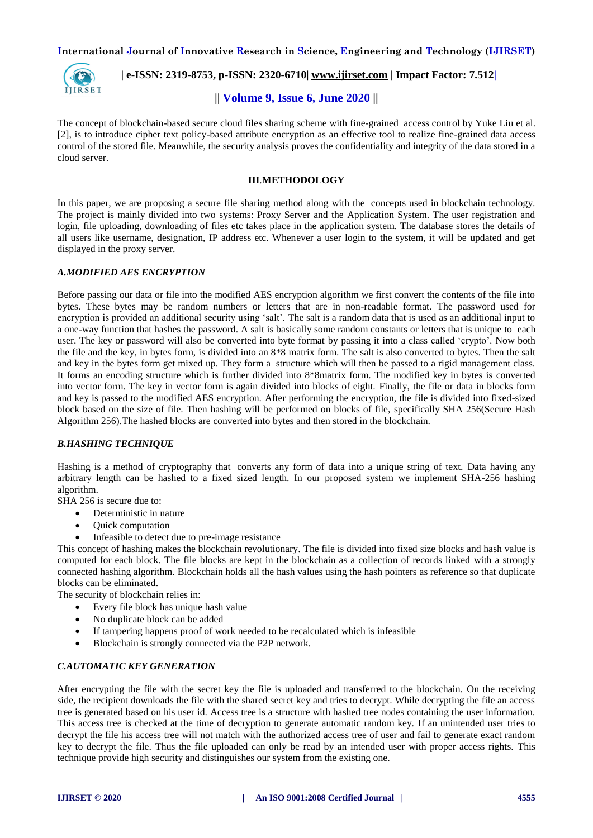

 **| e-ISSN: 2319-8753, p-ISSN: 2320-6710| [www.ijirset.com](http://www.ijirset.com/) | Impact Factor: 7.512|**

# **|| Volume 9, Issue 6, June 2020 ||**

The concept of blockchain-based secure cloud files sharing scheme with fine-grained access control by Yuke Liu et al. [2], is to introduce cipher text policy-based attribute encryption as an effective tool to realize fine-grained data access control of the stored file. Meanwhile, the security analysis proves the confidentiality and integrity of the data stored in a cloud server.

# **III**.**METHODOLOGY**

In this paper, we are proposing a secure file sharing method along with the concepts used in blockchain technology. The project is mainly divided into two systems: Proxy Server and the Application System. The user registration and login, file uploading, downloading of files etc takes place in the application system. The database stores the details of all users like username, designation, IP address etc. Whenever a user login to the system, it will be updated and get displayed in the proxy server.

## *A.MODIFIED AES ENCRYPTION*

Before passing our data or file into the modified AES encryption algorithm we first convert the contents of the file into bytes. These bytes may be random numbers or letters that are in non-readable format. The password used for encryption is provided an additional security using 'salt'. The salt is a random data that is used as an additional input to a one-way function that hashes the password. A salt is basically some random constants or letters that is unique to each user. The key or password will also be converted into byte format by passing it into a class called 'crypto'. Now both the file and the key, in bytes form, is divided into an 8\*8 matrix form. The salt is also converted to bytes. Then the salt and key in the bytes form get mixed up. They form a structure which will then be passed to a rigid management class. It forms an encoding structure which is further divided into 8\*8matrix form. The modified key in bytes is converted into vector form. The key in vector form is again divided into blocks of eight. Finally, the file or data in blocks form and key is passed to the modified AES encryption. After performing the encryption, the file is divided into fixed-sized block based on the size of file. Then hashing will be performed on blocks of file, specifically SHA 256(Secure Hash Algorithm 256).The hashed blocks are converted into bytes and then stored in the blockchain.

# *B.HASHING TECHNIQUE*

Hashing is a method of cryptography that converts any form of data into a unique string of text. Data having any arbitrary length can be hashed to a fixed sized length. In our proposed system we implement SHA-256 hashing algorithm.

SHA 256 is secure due to:

- Deterministic in nature
- Quick computation
- Infeasible to detect due to pre-image resistance

This concept of hashing makes the blockchain revolutionary. The file is divided into fixed size blocks and hash value is computed for each block. The file blocks are kept in the blockchain as a collection of records linked with a strongly connected hashing algorithm. Blockchain holds all the hash values using the hash pointers as reference so that duplicate blocks can be eliminated.

The security of blockchain relies in:

- Every file block has unique hash value
- No duplicate block can be added
- If tampering happens proof of work needed to be recalculated which is infeasible
- Blockchain is strongly connected via the P2P network.

#### *C.AUTOMATIC KEY GENERATION*

After encrypting the file with the secret key the file is uploaded and transferred to the blockchain. On the receiving side, the recipient downloads the file with the shared secret key and tries to decrypt. While decrypting the file an access tree is generated based on his user id. Access tree is a structure with hashed tree nodes containing the user information. This access tree is checked at the time of decryption to generate automatic random key. If an unintended user tries to decrypt the file his access tree will not match with the authorized access tree of user and fail to generate exact random key to decrypt the file. Thus the file uploaded can only be read by an intended user with proper access rights. This technique provide high security and distinguishes our system from the existing one.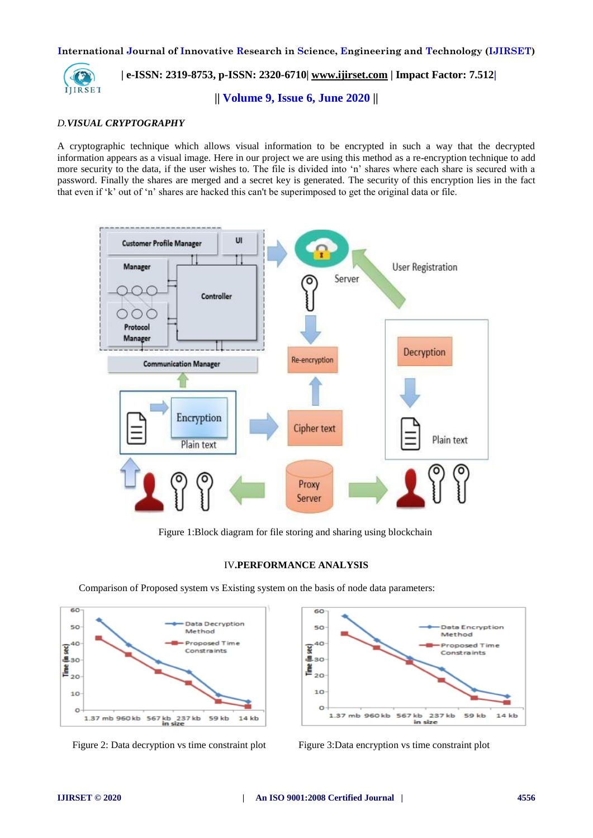

# **| e-ISSN: 2319-8753, p-ISSN: 2320-6710| [www.ijirset.com](http://www.ijirset.com/) | Impact Factor: 7.512|**

**|| Volume 9, Issue 6, June 2020 ||** 

#### *D.VISUAL CRYPTOGRAPHY*

A cryptographic technique which allows visual information to be encrypted in such a way that the decrypted information appears as a visual image. Here in our project we are using this method as a re-encryption technique to add more security to the data, if the user wishes to. The file is divided into 'n' shares where each share is secured with a password. Finally the shares are merged and a secret key is generated. The security of this encryption lies in the fact that even if 'k' out of 'n' shares are hacked this can't be superimposed to get the original data or file.



Figure 1:Block diagram for file storing and sharing using blockchain

## IV**.PERFORMANCE ANALYSIS**

Comparison of Proposed system vs Existing system on the basis of node data parameters: